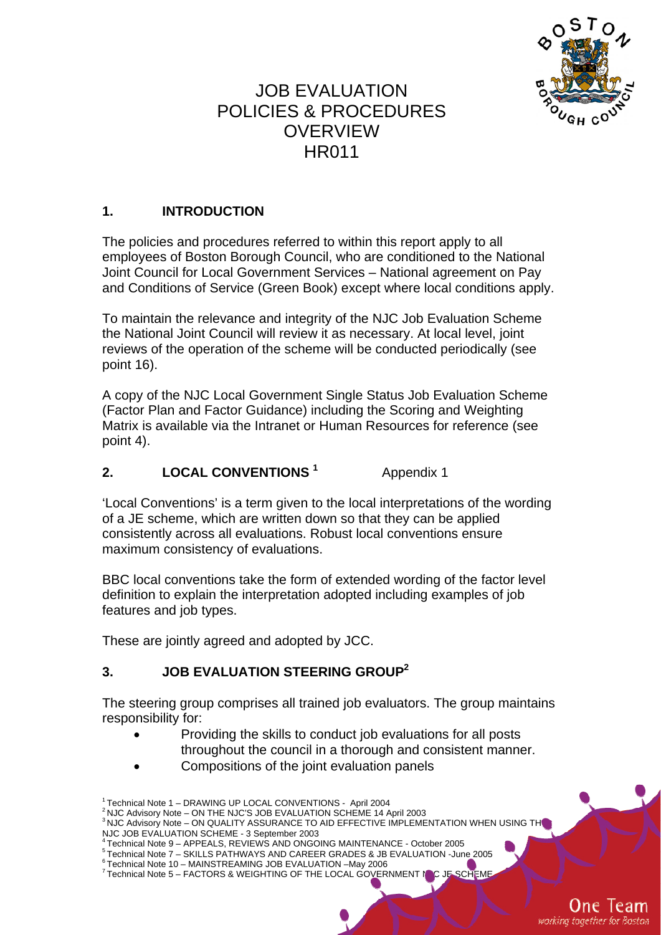

# JOB EVALUATION POLICIES & PROCEDURES **OVERVIEW** HR011

### **1. INTRODUCTION**

The policies and procedures referred to within this report apply to all employees of Boston Borough Council, who are conditioned to the National Joint Council for Local Government Services – National agreement on Pay and Conditions of Service (Green Book) except where local conditions apply.

To maintain the relevance and integrity of the NJC Job Evaluation Scheme the National Joint Council will review it as necessary. At local level, joint reviews of the operation of the scheme will be conducted periodically (see point 16).

A copy of the NJC Local Government Single Status Job Evaluation Scheme (Factor Plan and Factor Guidance) including the Scoring and Weighting Matrix is available via the Intranet or Human Resources for reference (see point 4).

#### **2. LOCAL CONVENTIONS <sup>1</sup>** Appendix 1

'Local Conventions' is a term given to the local interpretations of the wording of a JE scheme, which are written down so that they can be applied consistently across all evaluations. Robust local conventions ensure maximum consistency of evaluations.

BBC local conventions take the form of extended wording of the factor level definition to explain the interpretation adopted including examples of job features and job types.

These are jointly agreed and adopted by JCC.

### **3. JOB EVALUATION STEERING GROUP2**

The steering group comprises all trained job evaluators. The group maintains responsibility for:

- Providing the skills to conduct job evaluations for all posts throughout the council in a thorough and consistent manner.
- Compositions of the joint evaluation panels

One Team working together for Boston

<sup>1</sup> Technical Note 1 – DRAWING UP LOCAL CONVENTIONS - April 2004

<sup>2</sup> NJC Advisory Note – ON THE NJC'S JOB EVALUATION SCHEME 14 April 2003

<sup>&</sup>lt;sup>3</sup> NJC Advisory Note – ON QUALITY ASSURANCE TO AID EFFECTIVE IMPLEMENTATION WHEN USING TH NJC JOB EVALUATION SCHEME - 3 September 2003<br>
<sup>4</sup> Technical Note 9 – APPEALS, REVIEWS AND ONGOING MAINTENANCE - October 2005

<sup>1</sup> Technical Note 3 – APPEALS, REVIEWS AND CAREER GRADES & JB EVALUATION - June 2005

<sup>&</sup>lt;sup>6</sup> Technical Note 10 – MAINSTREAMING JOB EVALUATION –May 2006

 $7$  Technical Note 5 – FACTORS & WEIGHTING OF THE LOCAL GOVERNMENT NJC JE SCHEM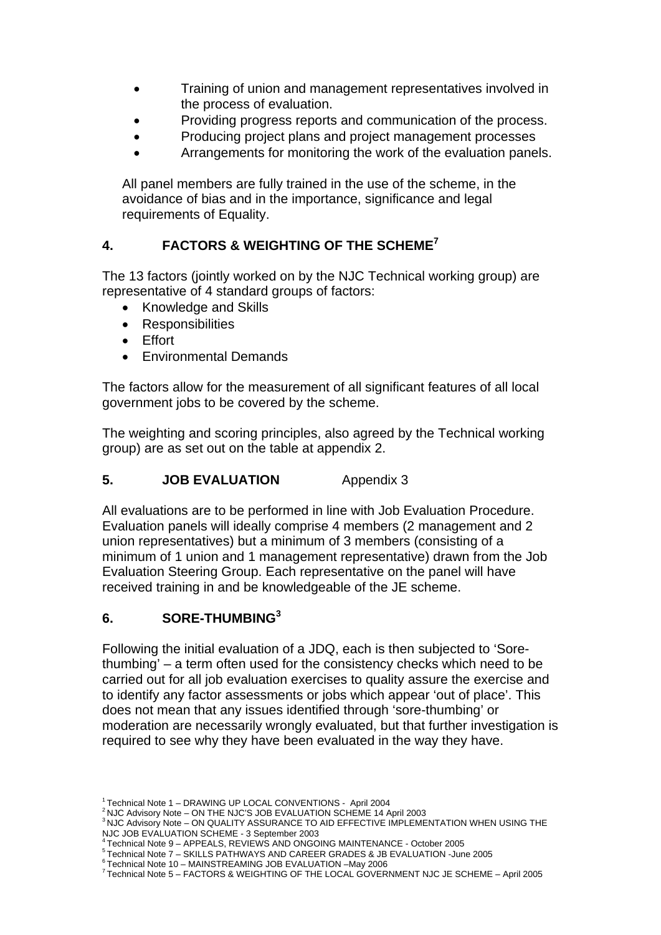- Training of union and management representatives involved in the process of evaluation.
- Providing progress reports and communication of the process.
- Producing project plans and project management processes
- Arrangements for monitoring the work of the evaluation panels.

All panel members are fully trained in the use of the scheme, in the avoidance of bias and in the importance, significance and legal requirements of Equality.

### **4. FACTORS & WEIGHTING OF THE SCHEME7**

The 13 factors (jointly worked on by the NJC Technical working group) are representative of 4 standard groups of factors:

- Knowledge and Skills
- **Responsibilities**
- Effort
- Environmental Demands

The factors allow for the measurement of all significant features of all local government jobs to be covered by the scheme.

The weighting and scoring principles, also agreed by the Technical working group) are as set out on the table at appendix 2.

### **5. JOB EVALUATION** Appendix 3

All evaluations are to be performed in line with Job Evaluation Procedure. Evaluation panels will ideally comprise 4 members (2 management and 2 union representatives) but a minimum of 3 members (consisting of a minimum of 1 union and 1 management representative) drawn from the Job Evaluation Steering Group. Each representative on the panel will have received training in and be knowledgeable of the JE scheme.

### **6. SORE-THUMBING<sup>3</sup>**

Following the initial evaluation of a JDQ, each is then subjected to 'Sorethumbing' – a term often used for the consistency checks which need to be carried out for all job evaluation exercises to quality assure the exercise and to identify any factor assessments or jobs which appear 'out of place'. This does not mean that any issues identified through 'sore-thumbing' or moderation are necessarily wrongly evaluated, but that further investigation is required to see why they have been evaluated in the way they have.

<sup>1</sup> Technical Note 1 – DRAWING UP LOCAL CONVENTIONS - April 2004

<sup>2</sup> NJC Advisory Note – ON THE NJC'S JOB EVALUATION SCHEME 14 April 2003

<sup>3</sup> NJC Advisory Note – ON QUALITY ASSURANCE TO AID EFFECTIVE IMPLEMENTATION WHEN USING THE NJC JOB EVALUATION SCHEME - 3 September 2003<br><sup>4</sup> Technical Note 9 - APPEALS, REVIEWS AND ONGOING MAINTENANCE - October 2005

<sup>1</sup> Technical Note 7 – SKILLS PATHWAYS AND CAREER GRADES & JB EVALUATION - June 2005

<sup>6</sup> Technical Note 10 – MAINSTREAMING JOB EVALUATION –May 2006

<sup>7</sup> Technical Note 5 – FACTORS & WEIGHTING OF THE LOCAL GOVERNMENT NJC JE SCHEME – April 2005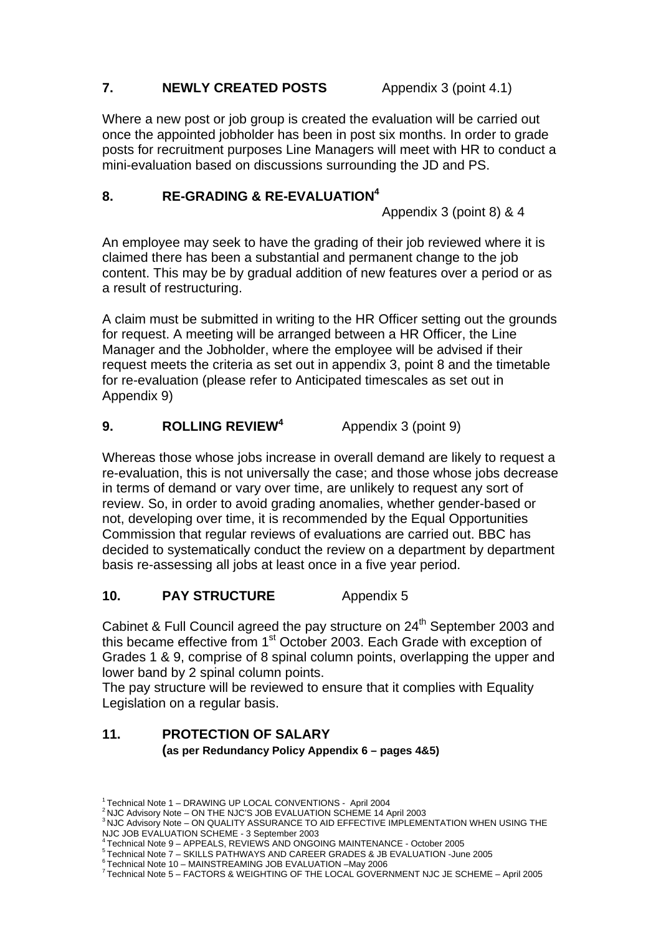### **7.** NEWLY CREATED POSTS Appendix 3 (point 4.1)

Where a new post or job group is created the evaluation will be carried out once the appointed jobholder has been in post six months. In order to grade posts for recruitment purposes Line Managers will meet with HR to conduct a mini-evaluation based on discussions surrounding the JD and PS.

### 8. RE-GRADING & RE-EVALUATION<sup>4</sup>

Appendix 3 (point 8) & 4

An employee may seek to have the grading of their job reviewed where it is claimed there has been a substantial and permanent change to the job content. This may be by gradual addition of new features over a period or as a result of restructuring.

A claim must be submitted in writing to the HR Officer setting out the grounds for request. A meeting will be arranged between a HR Officer, the Line Manager and the Jobholder, where the employee will be advised if their request meets the criteria as set out in appendix 3, point 8 and the timetable for re-evaluation (please refer to Anticipated timescales as set out in Appendix 9)

#### **9. ROLLING REVIEW4** Appendix 3 (point 9)

Whereas those whose jobs increase in overall demand are likely to request a re-evaluation, this is not universally the case; and those whose jobs decrease in terms of demand or vary over time, are unlikely to request any sort of review. So, in order to avoid grading anomalies, whether gender-based or not, developing over time, it is recommended by the Equal Opportunities Commission that regular reviews of evaluations are carried out. BBC has decided to systematically conduct the review on a department by department basis re-assessing all jobs at least once in a five year period.

### **10. PAY STRUCTURE** Appendix 5

Cabinet & Full Council agreed the pay structure on 24<sup>th</sup> September 2003 and this became effective from 1<sup>st</sup> October 2003. Each Grade with exception of Grades 1 & 9, comprise of 8 spinal column points, overlapping the upper and lower band by 2 spinal column points.

The pay structure will be reviewed to ensure that it complies with Equality Legislation on a regular basis.

### **11. PROTECTION OF SALARY (as per Redundancy Policy Appendix 6 – pages 4&5)**

<sup>1</sup> Technical Note 1 – DRAWING UP LOCAL CONVENTIONS - April 2004

<sup>2</sup> NJC Advisory Note – ON THE NJC'S JOB EVALUATION SCHEME 14 April 2003

<sup>3</sup> NJC Advisory Note – ON QUALITY ASSURANCE TO AID EFFECTIVE IMPLEMENTATION WHEN USING THE NJC JOB EVALUATION SCHEME - 3 September 2003<br><sup>4</sup> Technical Note 9 - APPEALS, REVIEWS AND ONGOING MAINTENANCE - October 2005

<sup>1</sup> Technical Note 7 – SKILLS PATHWAYS AND CAREER GRADES & JB EVALUATION - June 2005

<sup>&</sup>lt;sup>6</sup> Technical Note 10 – MAINSTREAMING JOB EVALUATION –May 2006

<sup>7</sup> Technical Note 5 – FACTORS & WEIGHTING OF THE LOCAL GOVERNMENT NJC JE SCHEME – April 2005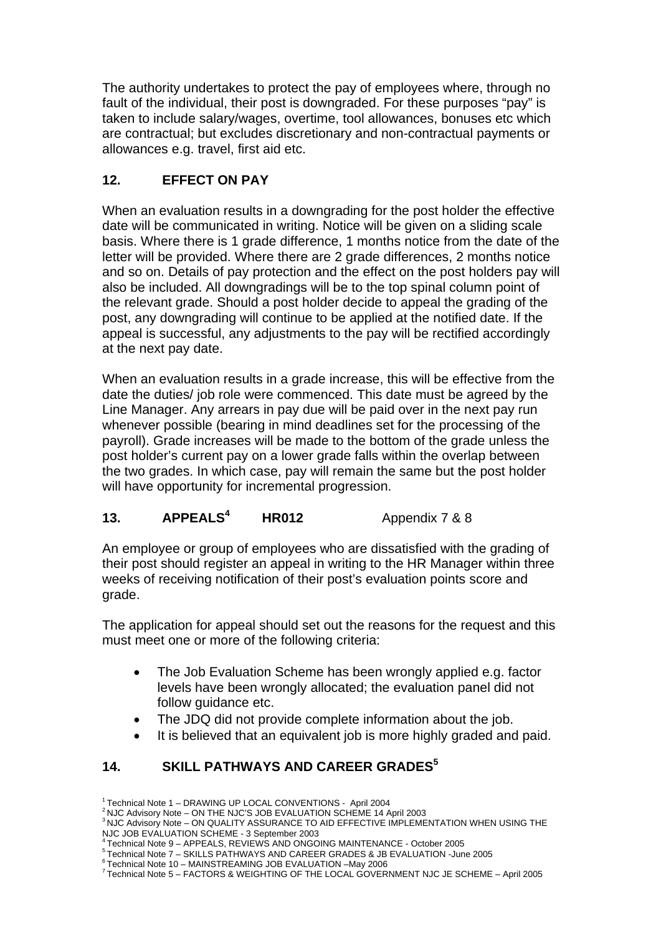The authority undertakes to protect the pay of employees where, through no fault of the individual, their post is downgraded. For these purposes "pay" is taken to include salary/wages, overtime, tool allowances, bonuses etc which are contractual; but excludes discretionary and non-contractual payments or allowances e.g. travel, first aid etc.

## **12. EFFECT ON PAY**

When an evaluation results in a downgrading for the post holder the effective date will be communicated in writing. Notice will be given on a sliding scale basis. Where there is 1 grade difference, 1 months notice from the date of the letter will be provided. Where there are 2 grade differences, 2 months notice and so on. Details of pay protection and the effect on the post holders pay will also be included. All downgradings will be to the top spinal column point of the relevant grade. Should a post holder decide to appeal the grading of the post, any downgrading will continue to be applied at the notified date. If the appeal is successful, any adjustments to the pay will be rectified accordingly at the next pay date.

When an evaluation results in a grade increase, this will be effective from the date the duties/ job role were commenced. This date must be agreed by the Line Manager. Any arrears in pay due will be paid over in the next pay run whenever possible (bearing in mind deadlines set for the processing of the payroll). Grade increases will be made to the bottom of the grade unless the post holder's current pay on a lower grade falls within the overlap between the two grades. In which case, pay will remain the same but the post holder will have opportunity for incremental progression.

#### **13. APPEALS4 HR012** Appendix 7 & 8

An employee or group of employees who are dissatisfied with the grading of their post should register an appeal in writing to the HR Manager within three weeks of receiving notification of their post's evaluation points score and grade.

The application for appeal should set out the reasons for the request and this must meet one or more of the following criteria:

- The Job Evaluation Scheme has been wrongly applied e.g. factor levels have been wrongly allocated; the evaluation panel did not follow guidance etc.
- The JDQ did not provide complete information about the job.
- It is believed that an equivalent job is more highly graded and paid.

### **14. SKILL PATHWAYS AND CAREER GRADES5**

<sup>1</sup> Technical Note 1 – DRAWING UP LOCAL CONVENTIONS - April 2004

<sup>2</sup> NJC Advisory Note – ON THE NJC'S JOB EVALUATION SCHEME 14 April 2003

<sup>3</sup> NJC Advisory Note – ON QUALITY ASSURANCE TO AID EFFECTIVE IMPLEMENTATION WHEN USING THE NJC JOB EVALUATION SCHEME - 3 September 2003<br><sup>4</sup> Technical Note 9 - APPEALS, REVIEWS AND ONGOING MAINTENANCE - October 2005

<sup>1</sup> Technical Note 3 – APPEALS, REVIEWS AND CAREER GRADES & JB EVALUATION - June 2005

<sup>6</sup> Technical Note 10 – MAINSTREAMING JOB EVALUATION –May 2006

<sup>7</sup> Technical Note 5 – FACTORS & WEIGHTING OF THE LOCAL GOVERNMENT NJC JE SCHEME – April 2005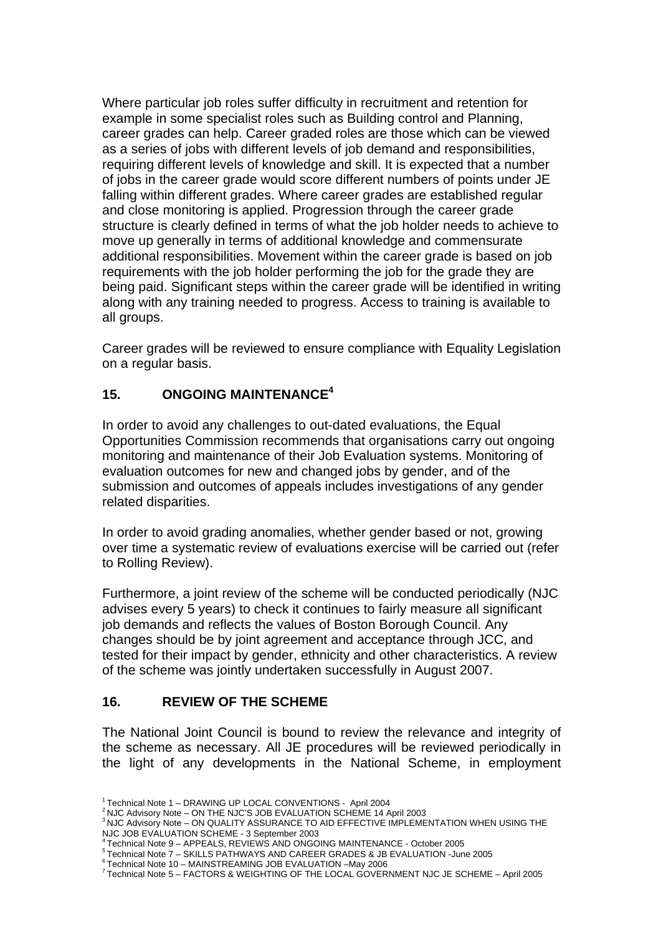Where particular job roles suffer difficulty in recruitment and retention for example in some specialist roles such as Building control and Planning, career grades can help. Career graded roles are those which can be viewed as a series of jobs with different levels of job demand and responsibilities, requiring different levels of knowledge and skill. It is expected that a number of jobs in the career grade would score different numbers of points under JE falling within different grades. Where career grades are established regular and close monitoring is applied. Progression through the career grade structure is clearly defined in terms of what the job holder needs to achieve to move up generally in terms of additional knowledge and commensurate additional responsibilities. Movement within the career grade is based on job requirements with the job holder performing the job for the grade they are being paid. Significant steps within the career grade will be identified in writing along with any training needed to progress. Access to training is available to all groups.

Career grades will be reviewed to ensure compliance with Equality Legislation on a regular basis.

### **15. ONGOING MAINTENANCE4**

In order to avoid any challenges to out-dated evaluations, the Equal Opportunities Commission recommends that organisations carry out ongoing monitoring and maintenance of their Job Evaluation systems. Monitoring of evaluation outcomes for new and changed jobs by gender, and of the submission and outcomes of appeals includes investigations of any gender related disparities.

In order to avoid grading anomalies, whether gender based or not, growing over time a systematic review of evaluations exercise will be carried out (refer to Rolling Review).

Furthermore, a joint review of the scheme will be conducted periodically (NJC advises every 5 years) to check it continues to fairly measure all significant job demands and reflects the values of Boston Borough Council. Any changes should be by joint agreement and acceptance through JCC, and tested for their impact by gender, ethnicity and other characteristics. A review of the scheme was jointly undertaken successfully in August 2007.

### **16. REVIEW OF THE SCHEME**

The National Joint Council is bound to review the relevance and integrity of the scheme as necessary. All JE procedures will be reviewed periodically in the light of any developments in the National Scheme, in employment

<sup>1</sup> Technical Note 1 – DRAWING UP LOCAL CONVENTIONS - April 2004

<sup>2</sup> NJC Advisory Note – ON THE NJC'S JOB EVALUATION SCHEME 14 April 2003

<sup>3</sup> NJC Advisory Note – ON QUALITY ASSURANCE TO AID EFFECTIVE IMPLEMENTATION WHEN USING THE NJC JOB EVALUATION SCHEME - 3 September 2003<br><sup>4</sup> Technical Note 9 - APPEALS, REVIEWS AND ONGOING MAINTENANCE - October 2005

<sup>1</sup> Technical Note 3 – APPEALS, REVIEWS AND CAREER GRADES & JB EVALUATION - June 2005

<sup>6</sup> Technical Note 10 – MAINSTREAMING JOB EVALUATION –May 2006

<sup>7</sup> Technical Note 5 – FACTORS & WEIGHTING OF THE LOCAL GOVERNMENT NJC JE SCHEME – April 2005